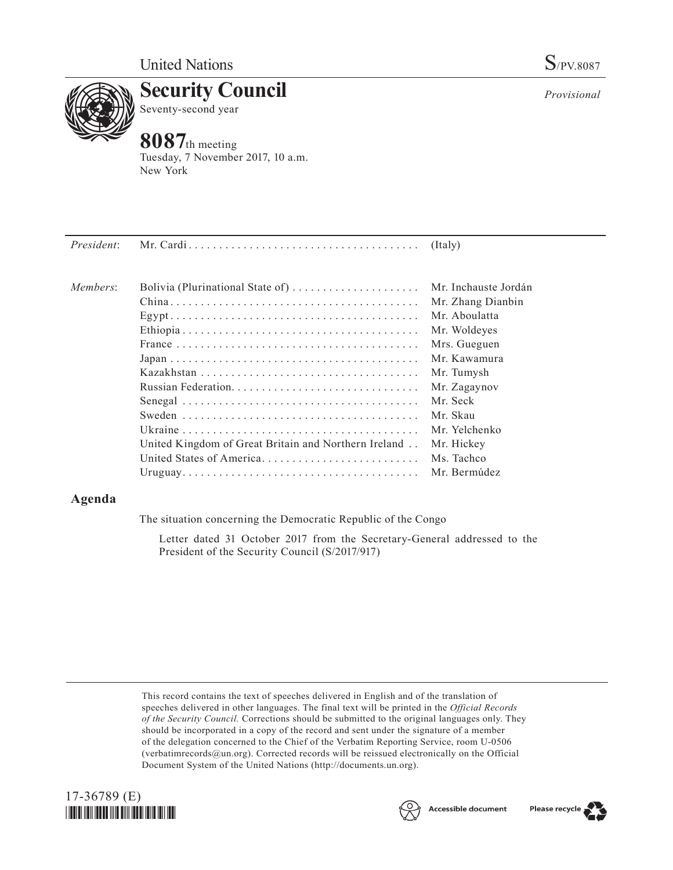

**Security Council** Seventy-second year

## **8087**th meeting

Tuesday, 7 November 2017, 10 a.m. New York

| President: |                                                      | (Italy)              |
|------------|------------------------------------------------------|----------------------|
| Members:   | Bolivia (Plurinational State of)                     | Mr. Inchauste Jordán |
|            |                                                      | Mr. Zhang Dianbin    |
|            |                                                      | Mr. Aboulatta        |
|            |                                                      | Mr. Woldeyes         |
|            |                                                      | Mrs. Gueguen         |
|            |                                                      | Mr. Kawamura         |
|            |                                                      | Mr. Tumysh           |
|            |                                                      | Mr. Zagaynov         |
|            |                                                      | Mr. Seck             |
|            |                                                      | Mr. Skau             |
|            |                                                      | Mr. Yelchenko        |
|            | United Kingdom of Great Britain and Northern Ireland | Mr. Hickey           |
|            | United States of America                             | Ms. Tachco           |
|            |                                                      | Mr. Bermúdez         |
|            |                                                      |                      |

## **Agenda**

The situation concerning the Democratic Republic of the Congo

Letter dated 31 October 2017 from the Secretary-General addressed to the President of the Security Council (S/2017/917)

This record contains the text of speeches delivered in English and of the translation of speeches delivered in other languages. The final text will be printed in the *Official Records of the Security Council.* Corrections should be submitted to the original languages only. They should be incorporated in a copy of the record and sent under the signature of a member of the delegation concerned to the Chief of the Verbatim Reporting Service, room U-0506 (verbatimrecords $@un.org$ ). Corrected records will be reissued electronically on the Official Document System of the United Nations [\(http://documents.un.org\)](http://documents.un.org).







*Provisional*